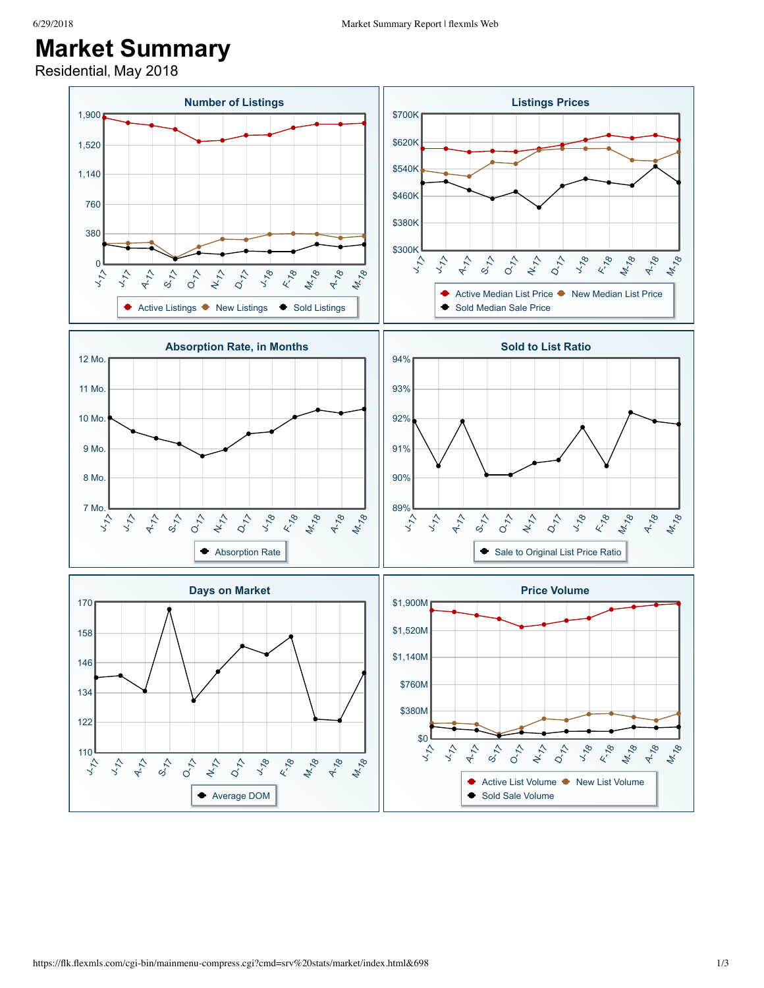## **Market Summary**

Residential, May 2018

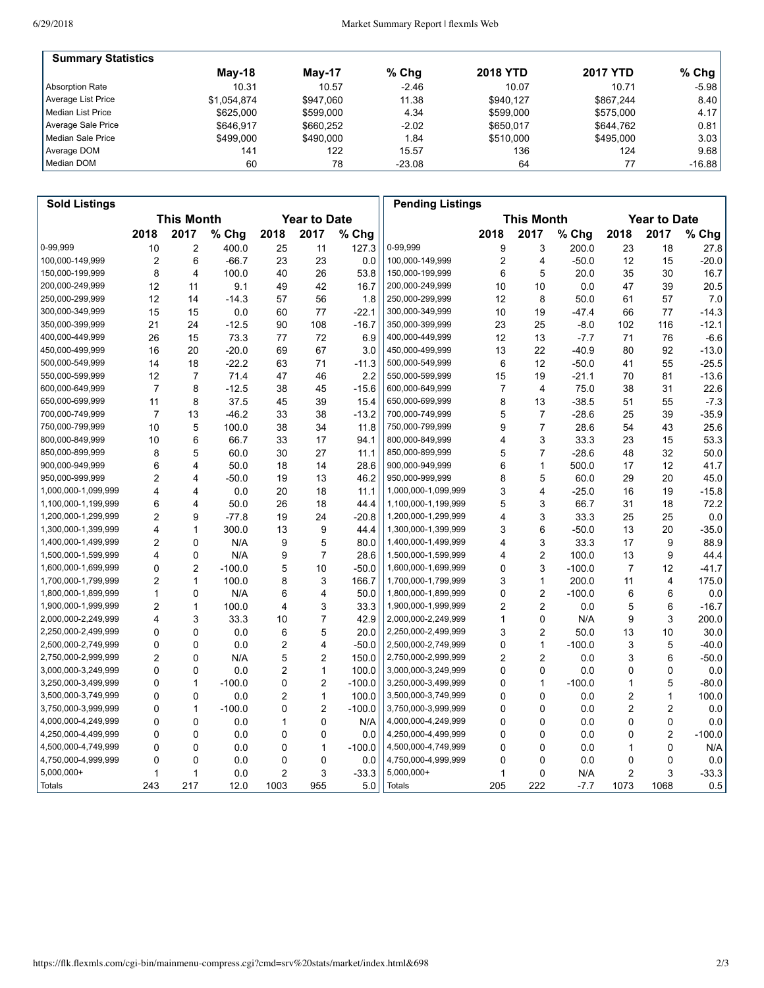| <b>Summary Statistics</b> |             |           |          |                 |                 |          |
|---------------------------|-------------|-----------|----------|-----------------|-----------------|----------|
|                           | $M$ ay-18   | Mav-17    | $%$ Chg  | <b>2018 YTD</b> | <b>2017 YTD</b> | $%$ Chg  |
| Absorption Rate           | 10.31       | 10.57     | $-2.46$  | 10.07           | 10.71           | $-5.98$  |
| Average List Price        | \$1,054,874 | \$947.060 | 11.38    | \$940.127       | \$867.244       | 8.40     |
| l Median List Price       | \$625,000   | \$599.000 | 4.34     | \$599.000       | \$575.000       | 4.17     |
| Average Sale Price        | \$646.917   | \$660.252 | $-2.02$  | \$650.017       | \$644.762       | 0.81     |
| Median Sale Price         | \$499,000   | \$490,000 | 1.84     | \$510,000       | \$495.000       | 3.03     |
| Average DOM               | 141         | 122       | 15.57    | 136             | 124             | 9.68     |
| Median DOM                | 60          | 78        | $-23.08$ | 64              |                 | $-16.88$ |

| <b>Sold Listings</b> |                                          |                |          |                   |                |          | <b>Pending Listings</b> |                     |                |          |      |                |          |
|----------------------|------------------------------------------|----------------|----------|-------------------|----------------|----------|-------------------------|---------------------|----------------|----------|------|----------------|----------|
|                      | <b>This Month</b><br><b>Year to Date</b> |                |          | <b>This Month</b> |                |          |                         | <b>Year to Date</b> |                |          |      |                |          |
|                      | 2018                                     | 2017           | % Chg    | 2018              | 2017           | $%$ Chg  |                         | 2018                | 2017           | $%$ Chg  | 2018 | 2017           | % Chg    |
| 0-99,999             | 10                                       | $\overline{2}$ | 400.0    | 25                | 11             | 127.3    | 0-99,999                | 9                   | 3              | 200.0    | 23   | 18             | 27.8     |
| 100,000-149,999      | $\overline{2}$                           | 6              | $-66.7$  | 23                | 23             | 0.0      | 100,000-149,999         | $\overline{2}$      | 4              | $-50.0$  | 12   | 15             | $-20.0$  |
| 150,000-199,999      | 8                                        | $\overline{4}$ | 100.0    | 40                | 26             | 53.8     | 150,000-199,999         | 6                   | 5              | 20.0     | 35   | 30             | 16.7     |
| 200,000-249,999      | 12                                       | 11             | 9.1      | 49                | 42             | 16.7     | 200,000-249,999         | 10                  | 10             | 0.0      | 47   | 39             | 20.5     |
| 250,000-299,999      | 12                                       | 14             | $-14.3$  | 57                | 56             | 1.8      | 250,000-299,999         | 12                  | 8              | 50.0     | 61   | 57             | 7.0      |
| 300,000-349,999      | 15                                       | 15             | 0.0      | 60                | 77             | $-22.1$  | 300,000-349,999         | 10                  | 19             | $-47.4$  | 66   | 77             | $-14.3$  |
| 350,000-399,999      | 21                                       | 24             | $-12.5$  | 90                | 108            | $-16.7$  | 350,000-399,999         | 23                  | 25             | $-8.0$   | 102  | 116            | $-12.1$  |
| 400,000-449,999      | 26                                       | 15             | 73.3     | 77                | 72             | 6.9      | 400,000-449,999         | 12                  | 13             | $-7.7$   | 71   | 76             | $-6.6$   |
| 450,000-499,999      | 16                                       | 20             | $-20.0$  | 69                | 67             | 3.0      | 450,000-499,999         | 13                  | 22             | $-40.9$  | 80   | 92             | $-13.0$  |
| 500,000-549,999      | 14                                       | 18             | $-22.2$  | 63                | 71             | $-11.3$  | 500,000-549,999         | 6                   | 12             | $-50.0$  | 41   | 55             | $-25.5$  |
| 550,000-599,999      | 12                                       | $\overline{7}$ | 71.4     | 47                | 46             | 2.2      | 550,000-599,999         | 15                  | 19             | $-21.1$  | 70   | 81             | $-13.6$  |
| 600,000-649,999      | $\overline{7}$                           | 8              | $-12.5$  | 38                | 45             | $-15.6$  | 600,000-649,999         | $\boldsymbol{7}$    | 4              | 75.0     | 38   | 31             | 22.6     |
| 650,000-699,999      | 11                                       | 8              | 37.5     | 45                | 39             | 15.4     | 650,000-699,999         | 8                   | 13             | $-38.5$  | 51   | 55             | $-7.3$   |
| 700,000-749,999      | $\overline{7}$                           | 13             | $-46.2$  | 33                | 38             | $-13.2$  | 700,000-749,999         | 5                   | $\overline{7}$ | $-28.6$  | 25   | 39             | $-35.9$  |
| 750,000-799,999      | 10                                       | 5              | 100.0    | 38                | 34             | 11.8     | 750,000-799,999         | 9                   | $\overline{7}$ | 28.6     | 54   | 43             | 25.6     |
| 800,000-849,999      | 10                                       | 6              | 66.7     | 33                | 17             | 94.1     | 800,000-849,999         | 4                   | 3              | 33.3     | 23   | 15             | 53.3     |
| 850,000-899,999      | 8                                        | 5              | 60.0     | 30                | 27             | 11.1     | 850,000-899,999         | 5                   | $\overline{7}$ | $-28.6$  | 48   | 32             | 50.0     |
| 900,000-949,999      | 6                                        | 4              | 50.0     | 18                | 14             | 28.6     | 900,000-949,999         | 6                   | $\mathbf{1}$   | 500.0    | 17   | 12             | 41.7     |
| 950,000-999,999      | $\overline{2}$                           | 4              | -50.0    | 19                | 13             | 46.2     | 950,000-999,999         | 8                   | 5              | 60.0     | 29   | 20             | 45.0     |
| 1,000,000-1,099,999  | 4                                        | $\overline{4}$ | 0.0      | 20                | 18             | 11.1     | 1,000,000-1,099,999     | 3                   | 4              | $-25.0$  | 16   | 19             | $-15.8$  |
| 1,100,000-1,199,999  | 6                                        | 4              | 50.0     | 26                | 18             | 44.4     | 1,100,000-1,199,999     | 5                   | 3              | 66.7     | 31   | 18             | 72.2     |
| 1,200,000-1,299,999  | $\overline{2}$                           | 9              | $-77.8$  | 19                | 24             | $-20.8$  | 1,200,000-1,299,999     | 4                   | 3              | 33.3     | 25   | 25             | 0.0      |
| 1,300,000-1,399,999  | 4                                        | $\mathbf{1}$   | 300.0    | 13                | 9              | 44.4     | 1,300,000-1,399,999     | 3                   | 6              | $-50.0$  | 13   | 20             | $-35.0$  |
| 1,400,000-1,499,999  | $\overline{2}$                           | 0              | N/A      | 9                 | 5              | 80.0     | 1,400,000-1,499,999     | 4                   | 3              | 33.3     | 17   | 9              | 88.9     |
| 1,500,000-1,599,999  | 4                                        | $\mathbf 0$    | N/A      | 9                 | $\overline{7}$ | 28.6     | 1,500,000-1,599,999     | 4                   | $\overline{c}$ | 100.0    | 13   | 9              | 44.4     |
| 1,600,000-1,699,999  | 0                                        | $\overline{2}$ | $-100.0$ | 5                 | 10             | $-50.0$  | 1,600,000-1,699,999     | 0                   | 3              | $-100.0$ | 7    | 12             | $-41.7$  |
| 1,700,000-1,799,999  | $\overline{2}$                           | $\mathbf{1}$   | 100.0    | 8                 | 3              | 166.7    | 1,700,000-1,799,999     | 3                   | $\mathbf{1}$   | 200.0    | 11   | 4              | 175.0    |
| 1,800,000-1,899,999  | 1                                        | 0              | N/A      | 6                 | 4              | 50.0     | 1,800,000-1,899,999     | 0                   | $\overline{2}$ | $-100.0$ | 6    | 6              | 0.0      |
| 1,900,000-1,999,999  | $\overline{2}$                           | $\mathbf{1}$   | 100.0    | 4                 | 3              | 33.3     | 1,900,000-1,999,999     | 2                   | $\overline{2}$ | 0.0      | 5    | 6              | $-16.7$  |
| 2,000,000-2,249,999  | $\overline{\mathbf{4}}$                  | 3              | 33.3     | 10                | $\overline{7}$ | 42.9     | 2,000,000-2,249,999     | $\mathbf{1}$        | $\mathbf 0$    | N/A      | 9    | 3              | 200.0    |
| 2,250,000-2,499,999  | 0                                        | 0              | 0.0      | 6                 | 5              | 20.0     | 2,250,000-2,499,999     | 3                   | $\overline{c}$ | 50.0     | 13   | 10             | 30.0     |
| 2,500,000-2,749,999  | 0                                        | $\mathbf 0$    | 0.0      | $\overline{c}$    | 4              | $-50.0$  | 2,500,000-2,749,999     | 0                   | $\mathbf{1}$   | $-100.0$ | 3    | 5              | $-40.0$  |
| 2,750,000-2,999,999  | $\overline{2}$                           | 0              | N/A      | 5                 | $\overline{c}$ | 150.0    | 2,750,000-2,999,999     | 2                   | $\overline{2}$ | 0.0      | 3    | 6              | $-50.0$  |
| 3,000,000-3,249,999  | $\Omega$                                 | 0              | 0.0      | $\overline{2}$    | $\mathbf{1}$   | 100.0    | 3,000,000-3,249,999     | 0                   | 0              | 0.0      | 0    | 0              | 0.0      |
| 3,250,000-3,499,999  | 0                                        | $\mathbf{1}$   | $-100.0$ | 0                 | $\overline{2}$ | $-100.0$ | 3,250,000-3,499,999     | 0                   | $\mathbf{1}$   | $-100.0$ | 1    | 5              | $-80.0$  |
| 3,500,000-3,749,999  | 0                                        | 0              | 0.0      | $\overline{2}$    | 1              | 100.0    | 3,500,000-3,749,999     | 0                   | 0              | 0.0      | 2    | 1              | 100.0    |
| 3,750,000-3,999,999  | 0                                        | $\mathbf{1}$   | $-100.0$ | 0                 | $\overline{2}$ | $-100.0$ | 3,750,000-3,999,999     | 0                   | $\mathbf 0$    | 0.0      | 2    | 2              | 0.0      |
| 4,000,000-4,249,999  | 0                                        | 0              | 0.0      | 1                 | 0              | N/A      | 4,000,000-4,249,999     | 0                   | 0              | 0.0      | 0    | 0              | 0.0      |
| 4,250,000-4,499,999  | $\Omega$                                 | $\mathbf 0$    | 0.0      | $\mathbf 0$       | 0              | 0.0      | 4,250,000-4,499,999     | 0                   | $\mathbf 0$    | 0.0      | 0    | $\overline{c}$ | $-100.0$ |
| 4,500,000-4,749,999  | 0                                        | $\mathbf 0$    | 0.0      | $\mathbf 0$       | 1              | $-100.0$ | 4,500,000-4,749,999     | 0                   | $\mathbf 0$    | 0.0      | 1    | 0              | N/A      |
| 4,750,000-4,999,999  | 0                                        | 0              | 0.0      | 0                 | 0              | 0.0      | 4,750,000-4,999,999     | 0                   | 0              | 0.0      | 0    | 0              | 0.0      |
| 5,000,000+           | 1                                        | $\mathbf{1}$   | 0.0      | $\overline{c}$    | 3              | $-33.3$  | 5,000,000+              | 1                   | $\mathbf 0$    | N/A      | 2    | 3              | $-33.3$  |
| Totals               | 243                                      | 217            | 12.0     | 1003              | 955            | 5.0      | <b>Totals</b>           | 205                 | 222            | $-7.7$   | 1073 | 1068           | 0.5      |